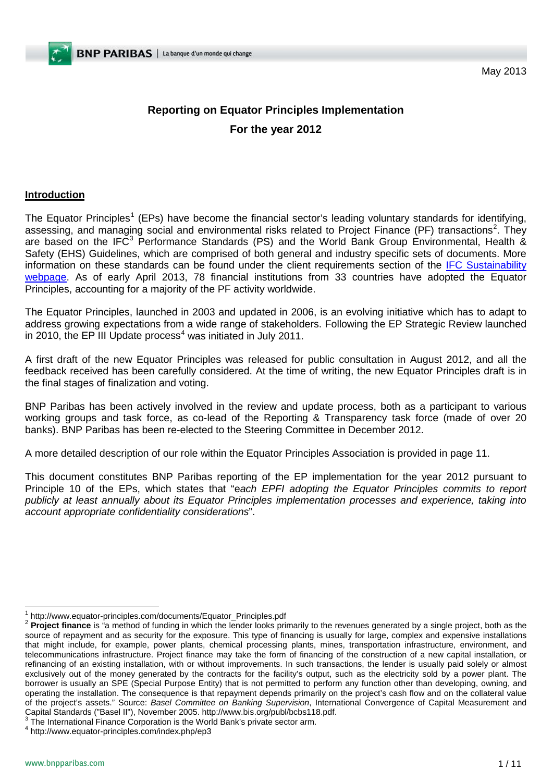May 2013

# **Reporting on Equator Principles Implementation For the year 2012**

## **Introduction**

The Equator Principles<sup>[1](#page-0-0)</sup> (EPs) have become the financial sector's leading voluntary standards for identifying, assessing, and managing social and environmental risks related to Project Finance (PF) transactions<sup>[2](#page-0-1)</sup>. They are based on the IFC<sup>[3](#page-0-2)</sup> Performance Standards (PS) and the World Bank Group Environmental, Health & Safety (EHS) Guidelines, which are comprised of both general and industry specific sets of documents. More information on these standards can be found under the client requirements section of the [IFC Sustainability](http://www.ifc.org/ifcext/sustainability.nsf/Content/EnvSocStandards)  [webpage.](http://www.ifc.org/ifcext/sustainability.nsf/Content/EnvSocStandards) As of early April 2013, 78 financial institutions from 33 countries have adopted the Equator Principles, accounting for a majority of the PF activity worldwide.

The Equator Principles, launched in 2003 and updated in 2006, is an evolving initiative which has to adapt to address growing expectations from a wide range of stakeholders. Following the EP Strategic Review launched in 2010, the EP III Update process<sup>[4](#page-0-3)</sup> was initiated in July 2011.

A first draft of the new Equator Principles was released for public consultation in August 2012, and all the feedback received has been carefully considered. At the time of writing, the new Equator Principles draft is in the final stages of finalization and voting.

BNP Paribas has been actively involved in the review and update process, both as a participant to various working groups and task force, as co-lead of the Reporting & Transparency task force (made of over 20 banks). BNP Paribas has been re-elected to the Steering Committee in December 2012.

A more detailed description of our role within the Equator Principles Association is provided in page 11.

This document constitutes BNP Paribas reporting of the EP implementation for the year 2012 pursuant to Principle 10 of the EPs, which states that "e*ach EPFI adopting the Equator Principles commits to report publicly at least annually about its Equator Principles implementation processes and experience, taking into account appropriate confidentiality considerations*".

<span id="page-0-1"></span>

<span id="page-0-0"></span><sup>&</sup>lt;sup>1</sup> http://www.equator-principles.com/documents/Equator\_Principles.pdf<br><sup>2</sup> Proiect finance is "a method of funding in which the lender looks primarily to the revenues generated by a single project, both as the source of repayment and as security for the exposure. This type of financing is usually for large, complex and expensive installations that might include, for example, power plants, chemical processing plants, mines, transportation infrastructure, environment, and telecommunications infrastructure. Project finance may take the form of financing of the construction of a new capital installation, or refinancing of an existing installation, with or without improvements. In such transactions, the lender is usually paid solely or almost exclusively out of the money generated by the contracts for the facility's output, such as the electricity sold by a power plant. The borrower is usually an SPE (Special Purpose Entity) that is not permitted to perform any function other than developing, owning, and operating the installation. The consequence is that repayment depends primarily on the project's cash flow and on the collateral value of the project's assets." Source: *Basel Committee on Banking Supervision*, International Convergence of Capital Measurement and<br>Capital Standards ("Basel II"), November 2005. http://www.bis.org/publ/bcbs118.pdf.

<span id="page-0-4"></span><span id="page-0-2"></span> $\frac{3}{3}$  The International Finance Corporation is the World Bank's private sector arm.

<span id="page-0-3"></span><sup>4</sup> http://www.equator-principles.com/index.php/ep3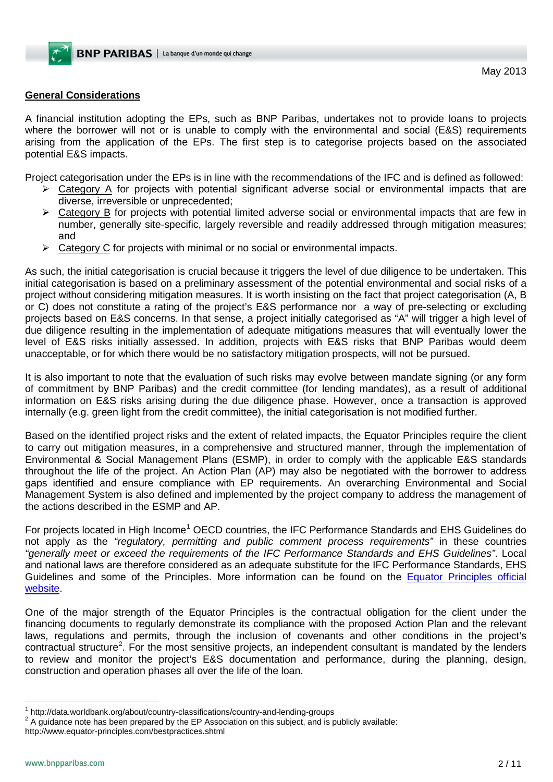## **General Considerations**

A financial institution adopting the EPs, such as BNP Paribas, undertakes not to provide loans to projects where the borrower will not or is unable to comply with the environmental and social (E&S) requirements arising from the application of the EPs. The first step is to categorise projects based on the associated potential E&S impacts.

Project categorisation under the EPs is in line with the recommendations of the IFC and is defined as followed:

- $\triangleright$  Category A for projects with potential significant adverse social or environmental impacts that are diverse, irreversible or unprecedented;
- Category B for projects with potential limited adverse social or environmental impacts that are few in number, generally site-specific, largely reversible and readily addressed through mitigation measures; and
- $\triangleright$  Category C for projects with minimal or no social or environmental impacts.

As such, the initial categorisation is crucial because it triggers the level of due diligence to be undertaken. This initial categorisation is based on a preliminary assessment of the potential environmental and social risks of a project without considering mitigation measures. It is worth insisting on the fact that project categorisation (A, B or C) does not constitute a rating of the project's E&S performance nor a way of pre-selecting or excluding projects based on E&S concerns. In that sense, a project initially categorised as "A" will trigger a high level of due diligence resulting in the implementation of adequate mitigations measures that will eventually lower the level of E&S risks initially assessed. In addition, projects with E&S risks that BNP Paribas would deem unacceptable, or for which there would be no satisfactory mitigation prospects, will not be pursued.

It is also important to note that the evaluation of such risks may evolve between mandate signing (or any form of commitment by BNP Paribas) and the credit committee (for lending mandates), as a result of additional information on E&S risks arising during the due diligence phase. However, once a transaction is approved internally (e.g. green light from the credit committee), the initial categorisation is not modified further.

Based on the identified project risks and the extent of related impacts, the Equator Principles require the client to carry out mitigation measures, in a comprehensive and structured manner, through the implementation of Environmental & Social Management Plans (ESMP), in order to comply with the applicable E&S standards throughout the life of the project. An Action Plan (AP) may also be negotiated with the borrower to address gaps identified and ensure compliance with EP requirements. An overarching Environmental and Social Management System is also defined and implemented by the project company to address the management of the actions described in the ESMP and AP.

For projects located in High Income<sup>[1](#page-0-4)</sup> OECD countries, the IFC Performance Standards and EHS Guidelines do not apply as the *"regulatory, permitting and public comment process requirements"* in these countries *"generally meet or exceed the requirements of the IFC Performance Standards and EHS Guidelines"*. Local and national laws are therefore considered as an adequate substitute for the IFC Performance Standards, EHS Guidelines and some of the Principles. More information can be found on the [Equator Principles official](http://www.equator-principles.com/)  [website.](http://www.equator-principles.com/)

One of the major strength of the Equator Principles is the contractual obligation for the client under the financing documents to regularly demonstrate its compliance with the proposed Action Plan and the relevant laws, regulations and permits, through the inclusion of covenants and other conditions in the project's contractual structure<sup>[2](#page-1-0)</sup>. For the most sensitive projects, an independent consultant is mandated by the lenders to review and monitor the project's E&S documentation and performance, during the planning, design, construction and operation phases all over the life of the loan.

<span id="page-1-0"></span>

<span id="page-1-1"></span><sup>&</sup>lt;sup>1</sup> http://data.worldbank.org/about/country-classifications/country-and-lending-groups  $2^2$  A guidance note has been prepared by the EP Association on this subject, and is publicly available:

http://www.equator-principles.com/bestpractices.shtml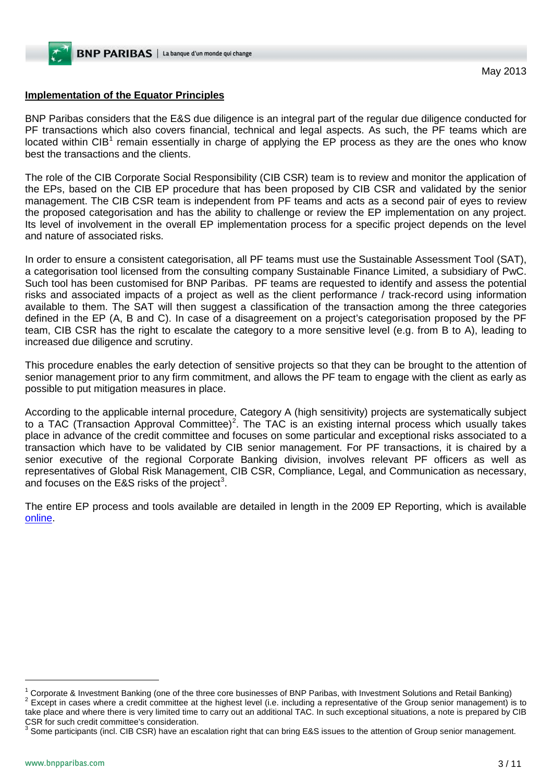# **Implementation of the Equator Principles**

BNP Paribas considers that the E&S due diligence is an integral part of the regular due diligence conducted for PF transactions which also covers financial, technical and legal aspects. As such, the PF teams which are located within  $CIB<sup>1</sup>$  $CIB<sup>1</sup>$  $CIB<sup>1</sup>$  remain essentially in charge of applying the EP process as they are the ones who know best the transactions and the clients.

The role of the CIB Corporate Social Responsibility (CIB CSR) team is to review and monitor the application of the EPs, based on the CIB EP procedure that has been proposed by CIB CSR and validated by the senior management. The CIB CSR team is independent from PF teams and acts as a second pair of eyes to review the proposed categorisation and has the ability to challenge or review the EP implementation on any project. Its level of involvement in the overall EP implementation process for a specific project depends on the level and nature of associated risks.

In order to ensure a consistent categorisation, all PF teams must use the Sustainable Assessment Tool (SAT), a categorisation tool licensed from the consulting company Sustainable Finance Limited, a subsidiary of PwC. Such tool has been customised for BNP Paribas. PF teams are requested to identify and assess the potential risks and associated impacts of a project as well as the client performance / track-record using information available to them. The SAT will then suggest a classification of the transaction among the three categories defined in the EP (A, B and C). In case of a disagreement on a project's categorisation proposed by the PF team, CIB CSR has the right to escalate the category to a more sensitive level (e.g. from B to A), leading to increased due diligence and scrutiny.

This procedure enables the early detection of sensitive projects so that they can be brought to the attention of senior management prior to any firm commitment, and allows the PF team to engage with the client as early as possible to put mitigation measures in place.

According to the applicable internal procedure, Category A (high sensitivity) projects are systematically subject to a TAC (Transaction Approval Committee)<sup>[2](#page-2-0)</sup>. The TAC is an existing internal process which usually takes place in advance of the credit committee and focuses on some particular and exceptional risks associated to a transaction which have to be validated by CIB senior management. For PF transactions, it is chaired by a senior executive of the regional Corporate Banking division, involves relevant PF officers as well as representatives of Global Risk Management, CIB CSR, Compliance, Legal, and Communication as necessary, and focuses on the E&S risks of the project<sup>[3](#page-2-1)</sup>.

The entire EP process and tools available are detailed in length in the 2009 EP Reporting, which is available [online.](http://www.bnpparibas.com/en/about-us/sustainable-development/international-commitments)

-

<span id="page-2-0"></span><sup>&</sup>lt;sup>1</sup> Corporate & Investment Banking (one of the three core businesses of BNP Paribas, with Investment Solutions and Retail Banking)<br><sup>2</sup> Except in cases where a credit committee at the highest level (i.e. including a repres take place and where there is very limited time to carry out an additional TAC. In such exceptional situations, a note is prepared by CIB CSR for such credit committee's consideration.

<span id="page-2-1"></span> $3$  Some participants (incl. CIB CSR) have an escalation right that can bring E&S issues to the attention of Group senior management.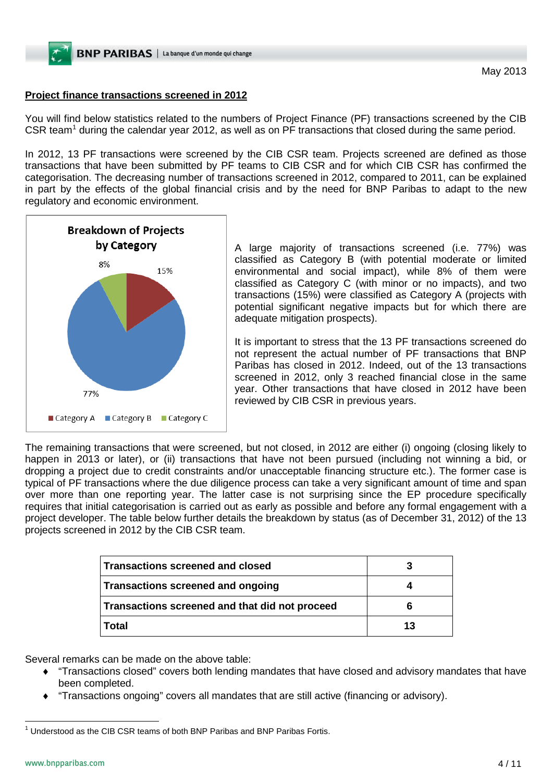# **Project finance transactions screened in 2012**

You will find below statistics related to the numbers of Project Finance (PF) transactions screened by the CIB CSR team<sup>[1](#page-2-1)</sup> during the calendar year 2012, as well as on PF transactions that closed during the same period.

In 2012, 13 PF transactions were screened by the CIB CSR team. Projects screened are defined as those transactions that have been submitted by PF teams to CIB CSR and for which CIB CSR has confirmed the categorisation. The decreasing number of transactions screened in 2012, compared to 2011, can be explained in part by the effects of the global financial crisis and by the need for BNP Paribas to adapt to the new regulatory and economic environment.



A large majority of transactions screened (i.e. 77%) was classified as Category B (with potential moderate or limited environmental and social impact), while 8% of them were classified as Category C (with minor or no impacts), and two transactions (15%) were classified as Category A (projects with potential significant negative impacts but for which there are adequate mitigation prospects).

It is important to stress that the 13 PF transactions screened do not represent the actual number of PF transactions that BNP Paribas has closed in 2012. Indeed, out of the 13 transactions screened in 2012, only 3 reached financial close in the same year. Other transactions that have closed in 2012 have been reviewed by CIB CSR in previous years.

The remaining transactions that were screened, but not closed, in 2012 are either (i) ongoing (closing likely to happen in 2013 or later), or (ii) transactions that have not been pursued (including not winning a bid, or dropping a project due to credit constraints and/or unacceptable financing structure etc.). The former case is typical of PF transactions where the due diligence process can take a very significant amount of time and span over more than one reporting year. The latter case is not surprising since the EP procedure specifically requires that initial categorisation is carried out as early as possible and before any formal engagement with a project developer. The table below further details the breakdown by status (as of December 31, 2012) of the 13 projects screened in 2012 by the CIB CSR team.

| Transactions screened and closed               | 3  |
|------------------------------------------------|----|
| Transactions screened and ongoing              |    |
| Transactions screened and that did not proceed | 6  |
| Total                                          | 13 |

Several remarks can be made on the above table:

- ♦ "Transactions closed" covers both lending mandates that have closed and advisory mandates that have been completed.
- "Transactions ongoing" covers all mandates that are still active (financing or advisory).

<span id="page-3-0"></span> $1$  Understood as the CIB CSR teams of both BNP Paribas and BNP Paribas Fortis.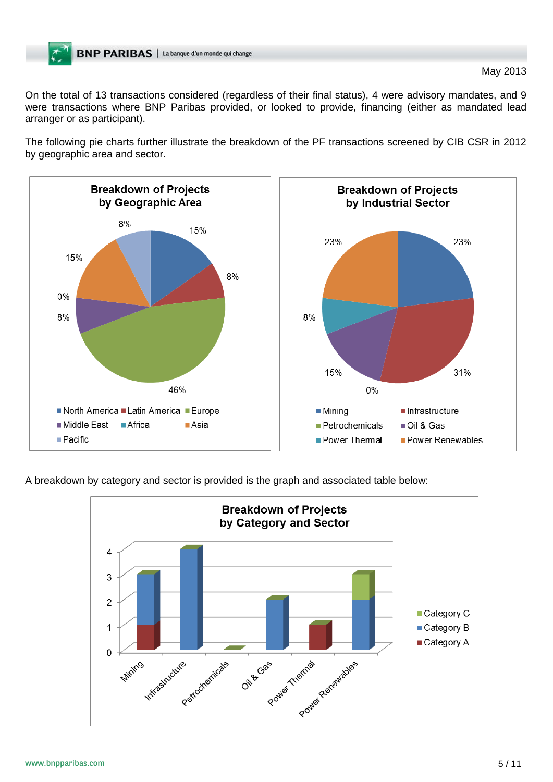On the total of 13 transactions considered (regardless of their final status), 4 were advisory mandates, and 9 were transactions where BNP Paribas provided, or looked to provide, financing (either as mandated lead arranger or as participant).

The following pie charts further illustrate the breakdown of the PF transactions screened by CIB CSR in 2012 by geographic area and sector.



A breakdown by category and sector is provided is the graph and associated table below:

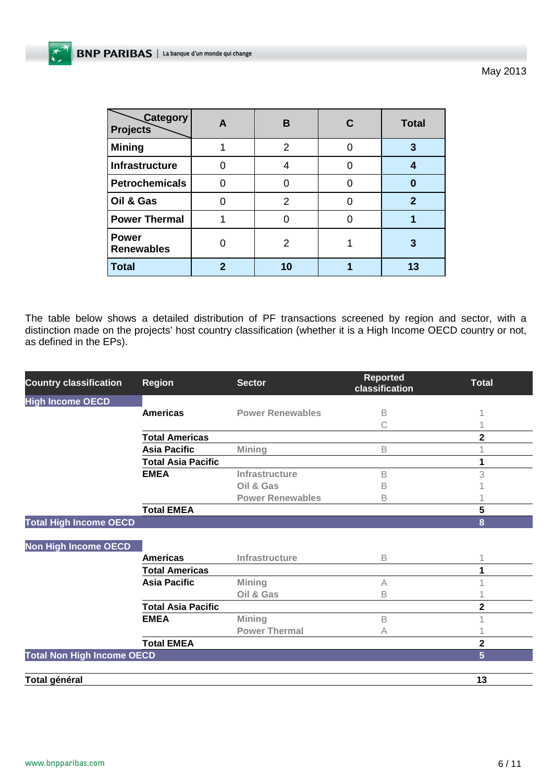May 2013

| <b>Category</b><br><b>Projects</b> | в  | <b>Total</b> |
|------------------------------------|----|--------------|
| <b>Mining</b>                      | 2  | 3            |
| Infrastructure                     |    | 4            |
| <b>Petrochemicals</b>              |    | 0            |
| Oil & Gas                          | 2  | 2            |
| <b>Power Thermal</b>               |    |              |
| <b>Power</b><br><b>Renewables</b>  | 2  | 3            |
| Total                              | 10 | 13           |

The table below shows a detailed distribution of PF transactions screened by region and sector, with a distinction made on the projects' host country classification (whether it is a High Income OECD country or not, as defined in the EPs).

| <b>Country classification</b>     | <b>Region</b>             | <b>Sector</b>           | <b>Reported</b><br>classification | Total          |
|-----------------------------------|---------------------------|-------------------------|-----------------------------------|----------------|
| <b>High Income OECD</b>           |                           |                         |                                   |                |
|                                   | <b>Americas</b>           | <b>Power Renewables</b> | B                                 |                |
|                                   |                           |                         | С                                 |                |
|                                   | <b>Total Americas</b>     |                         |                                   | $\overline{2}$ |
|                                   | <b>Asia Pacific</b>       | Mining                  | B                                 |                |
|                                   | <b>Total Asia Pacific</b> |                         |                                   |                |
|                                   | <b>EMEA</b>               | Infrastructure          | B                                 | 3              |
|                                   |                           | Oil & Gas               | Β                                 |                |
|                                   |                           | <b>Power Renewables</b> | В                                 |                |
|                                   | <b>Total EMEA</b>         |                         |                                   | 5              |
| <b>Total High Income OECD</b>     |                           |                         |                                   | 8              |
|                                   |                           |                         |                                   |                |
| <b>Non High Income OECD</b>       |                           |                         |                                   |                |
|                                   | <b>Americas</b>           | Infrastructure          | B                                 |                |
|                                   | <b>Total Americas</b>     |                         |                                   |                |
|                                   | <b>Asia Pacific</b>       | Mining                  | А                                 |                |
|                                   |                           | Oil & Gas               | В                                 |                |
|                                   | <b>Total Asia Pacific</b> |                         |                                   | 2              |
|                                   | <b>EMEA</b>               | <b>Mining</b>           | B                                 |                |
|                                   |                           | <b>Power Thermal</b>    | А                                 |                |
|                                   | <b>Total EMEA</b>         |                         |                                   | 2              |
| <b>Total Non High Income OECD</b> |                           |                         |                                   | 5              |
|                                   |                           |                         |                                   |                |
| Total général                     |                           |                         |                                   | 13             |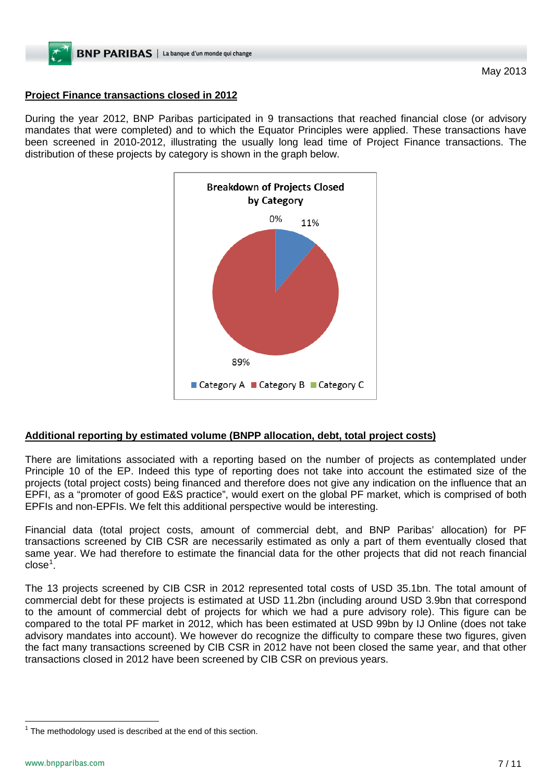# **Project Finance transactions closed in 2012**

During the year 2012, BNP Paribas participated in 9 transactions that reached financial close (or advisory mandates that were completed) and to which the Equator Principles were applied. These transactions have been screened in 2010-2012, illustrating the usually long lead time of Project Finance transactions. The distribution of these projects by category is shown in the graph below.



## **Additional reporting by estimated volume (BNPP allocation, debt, total project costs)**

There are limitations associated with a reporting based on the number of projects as contemplated under Principle 10 of the EP. Indeed this type of reporting does not take into account the estimated size of the projects (total project costs) being financed and therefore does not give any indication on the influence that an EPFI, as a "promoter of good E&S practice", would exert on the global PF market, which is comprised of both EPFIs and non-EPFIs. We felt this additional perspective would be interesting.

Financial data (total project costs, amount of commercial debt, and BNP Paribas' allocation) for PF transactions screened by CIB CSR are necessarily estimated as only a part of them eventually closed that same year. We had therefore to estimate the financial data for the other projects that did not reach financial close<sup>[1](#page-3-0)</sup>.

The 13 projects screened by CIB CSR in 2012 represented total costs of USD 35.1bn. The total amount of commercial debt for these projects is estimated at USD 11.2bn (including around USD 3.9bn that correspond to the amount of commercial debt of projects for which we had a pure advisory role). This figure can be compared to the total PF market in 2012, which has been estimated at USD 99bn by IJ Online (does not take advisory mandates into account). We however do recognize the difficulty to compare these two figures, given the fact many transactions screened by CIB CSR in 2012 have not been closed the same year, and that other transactions closed in 2012 have been screened by CIB CSR on previous years.

<span id="page-6-0"></span> $1$  The methodology used is described at the end of this section.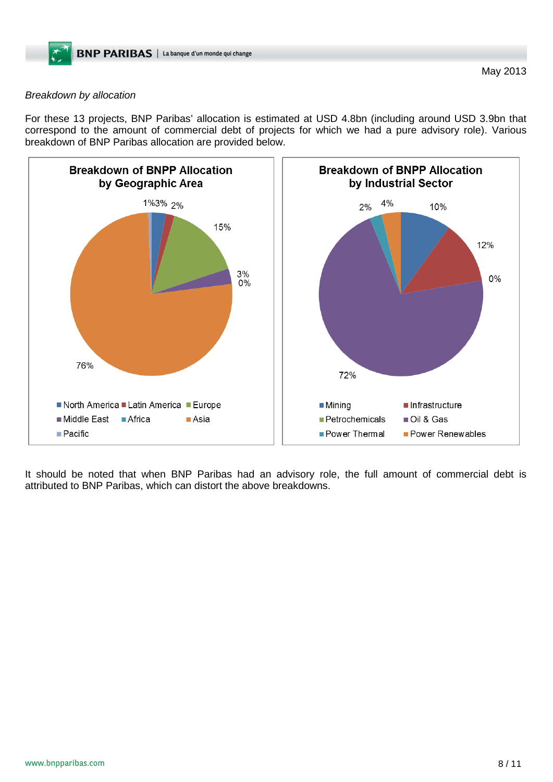#### *Breakdown by allocation*

For these 13 projects, BNP Paribas' allocation is estimated at USD 4.8bn (including around USD 3.9bn that correspond to the amount of commercial debt of projects for which we had a pure advisory role). Various breakdown of BNP Paribas allocation are provided below.



It should be noted that when BNP Paribas had an advisory role, the full amount of commercial debt is attributed to BNP Paribas, which can distort the above breakdowns.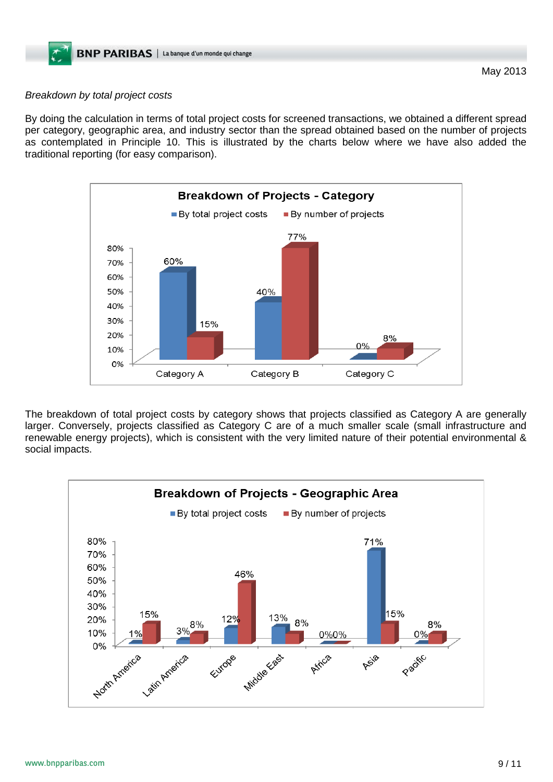## *Breakdown by total project costs*

By doing the calculation in terms of total project costs for screened transactions, we obtained a different spread per category, geographic area, and industry sector than the spread obtained based on the number of projects as contemplated in Principle 10. This is illustrated by the charts below where we have also added the traditional reporting (for easy comparison).



The breakdown of total project costs by category shows that projects classified as Category A are generally larger. Conversely, projects classified as Category C are of a much smaller scale (small infrastructure and renewable energy projects), which is consistent with the very limited nature of their potential environmental & social impacts.

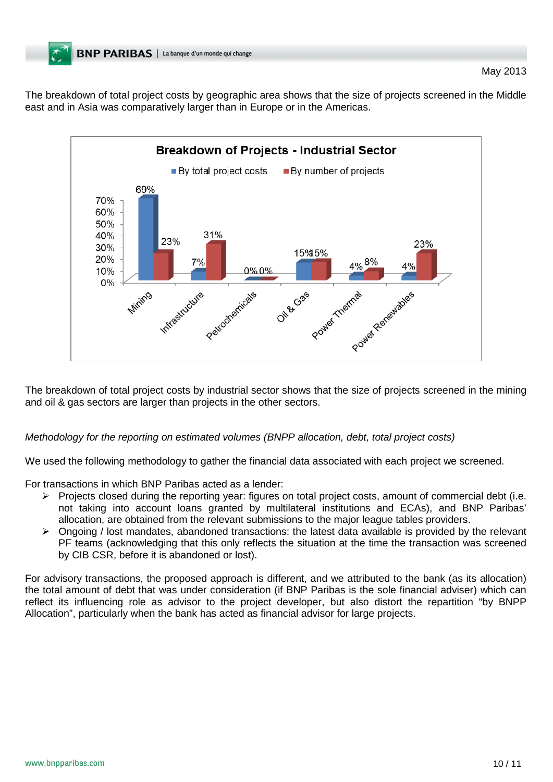The breakdown of total project costs by geographic area shows that the size of projects screened in the Middle east and in Asia was comparatively larger than in Europe or in the Americas.



The breakdown of total project costs by industrial sector shows that the size of projects screened in the mining and oil & gas sectors are larger than projects in the other sectors.

## *Methodology for the reporting on estimated volumes (BNPP allocation, debt, total project costs)*

We used the following methodology to gather the financial data associated with each project we screened.

For transactions in which BNP Paribas acted as a lender:

- Projects closed during the reporting year: figures on total project costs, amount of commercial debt (i.e. not taking into account loans granted by multilateral institutions and ECAs), and BNP Paribas' allocation, are obtained from the relevant submissions to the major league tables providers.
- $\triangleright$  Ongoing / lost mandates, abandoned transactions: the latest data available is provided by the relevant PF teams (acknowledging that this only reflects the situation at the time the transaction was screened by CIB CSR, before it is abandoned or lost).

For advisory transactions, the proposed approach is different, and we attributed to the bank (as its allocation) the total amount of debt that was under consideration (if BNP Paribas is the sole financial adviser) which can reflect its influencing role as advisor to the project developer, but also distort the repartition "by BNPP Allocation", particularly when the bank has acted as financial advisor for large projects.